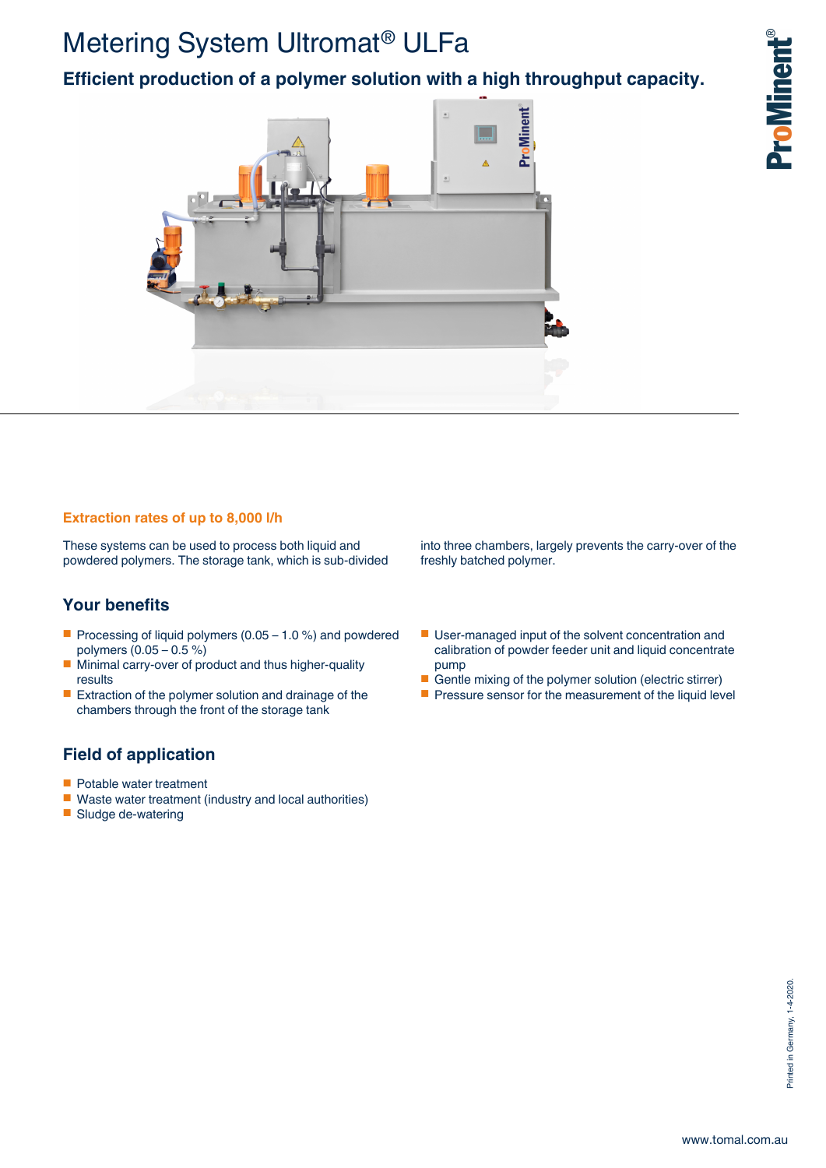# Metering System Ultromat® ULFa

**Efficient production of a polymer solution with a high throughput capacity.**



### **Extraction rates of up to 8,000 l/h**

These systems can be used to process both liquid and powdered polymers. The storage tank, which is sub-divided

## **Your benefits**

- Processing of liquid polymers  $(0.05 1.0 \%)$  and powdered polymers (0.05 – 0.5 %)
- Minimal carry-over of product and thus higher-quality results
- Extraction of the polymer solution and drainage of the chambers through the front of the storage tank

## **Field of application**

- Potable water treatment
- Waste water treatment (industry and local authorities)
- Sludge de-watering

into three chambers, largely prevents the carry-over of the freshly batched polymer.

- User-managed input of the solvent concentration and calibration of powder feeder unit and liquid concentrate pump
- Gentle mixing of the polymer solution (electric stirrer)
- Pressure sensor for the measurement of the liquid level